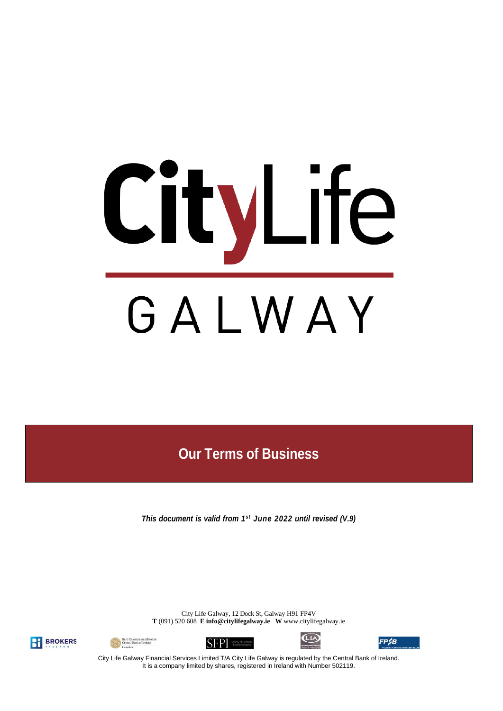# CityLife GALWAY

**Our Terms of Business**

*This document is valid from 1 st June 2022 until revised (V.9)*

City Life Galway, 12 Dock St, Galway H91 FP4V **T** (091) 520 608 **E [info@citylifegalway.ie](mailto:info@citylifegalway.ie) W** www.citylifegalway.ie











City Life Galway Financial Services Limited T/A City Life Galway is regulated by the Central Bank of Ireland. It is a company limited by shares, registered in Ireland with Number 502119.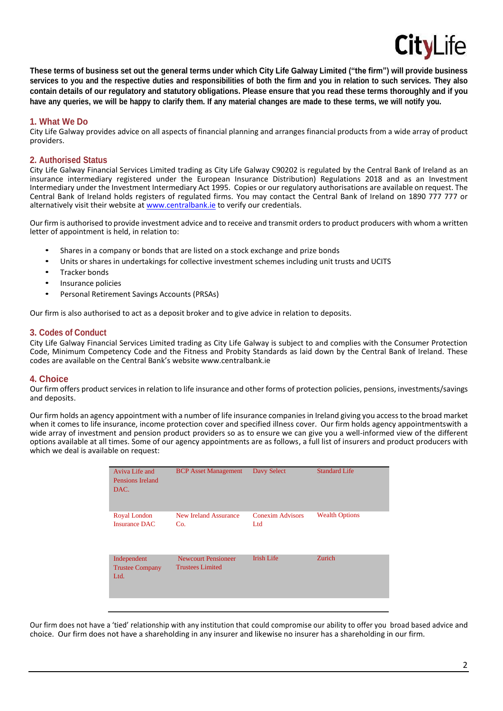

These terms of business set out the general terms under which City Life Galway Limited ("the firm") will provide business **services to you and the respective duties and responsibilities of both the firm and you in relation to such services. They also** contain details of our regulatory and statutory obligations. Please ensure that you read these terms thoroughly and if you have any queries, we will be happy to clarify them. If any material changes are made to these terms, we will notify you.

# **1. What We Do**

City Life Galway provides advice on all aspects of financial planning and arranges financial products from a wide array of product providers.

## **2. Authorised Status**

City Life Galway Financial Services Limited trading as City Life Galway C90202 is regulated by the Central Bank of Ireland as an insurance intermediary registered under the European Insurance Distribution) Regulations 2018 and as an Investment Intermediary under the Investment Intermediary Act 1995. Copies or our regulatory authorisations are available on request. The Central Bank of Ireland holds registers of regulated firms. You may contact the Central Bank of Ireland on 1890 777 777 or alternatively visit their website at [www.centralbank.ie](http://www.centralbank.ie/) to verify our credentials.

Our firm is authorised to provide investment advice and to receive and transmit ordersto product producers with whom a written letter of appointment is held, in relation to:

- Shares in a company or bonds that are listed on a stock exchange and prize bonds
- Units or shares in undertakings for collective investment schemes including unit trusts and UCITS
- Tracker bonds
- Insurance policies
- Personal Retirement Savings Accounts (PRSAs)

Our firm is also authorised to act as a deposit broker and to give advice in relation to deposits.

# **3. Codes of Conduct**

City Life Galway Financial Services Limited trading as City Life Galway is subject to and complies with the Consumer Protection Code, Minimum Competency Code and the Fitness and Probity Standards as laid down by the Central Bank of Ireland. These codes are available on the Central Bank's website [www.centralbank.ie](http://www.centralbank.ie/)

## **4. Choice**

Our firm offers product services in relation to life insurance and other forms of protection policies, pensions, investments/savings and deposits.

Our firm holds an agency appointment with a number of life insurance companies in Ireland giving you access to the broad market when it comes to life insurance, income protection cover and specified illness cover. Our firm holds agency appointmentswith a wide array of investment and pension product providers so as to ensure we can give you a well-informed view of the different options available at all times. Some of our agency appointments are as follows, a full list of insurers and product producers with which we deal is available on request:

| Aviva Life and<br>Pensions Ireland<br>DAC.    | <b>BCP</b> Asset Management                           | Davy Select                    | <b>Standard Life</b>  |
|-----------------------------------------------|-------------------------------------------------------|--------------------------------|-----------------------|
| Royal London<br><b>Insurance DAC</b>          | New Ireland Assurance<br>Co.                          | <b>Conexim Advisors</b><br>Ltd | <b>Wealth Options</b> |
| Independent<br><b>Trustee Company</b><br>Ltd. | <b>Newcourt Pensioneer</b><br><b>Trustees Limited</b> | <b>Irish Life</b>              | Zurich                |
|                                               |                                                       |                                |                       |

Our firm does not have a 'tied' relationship with any institution that could compromise our ability to offer you broad based advice and choice. Our firm does not have a shareholding in any insurer and likewise no insurer has a shareholding in our firm.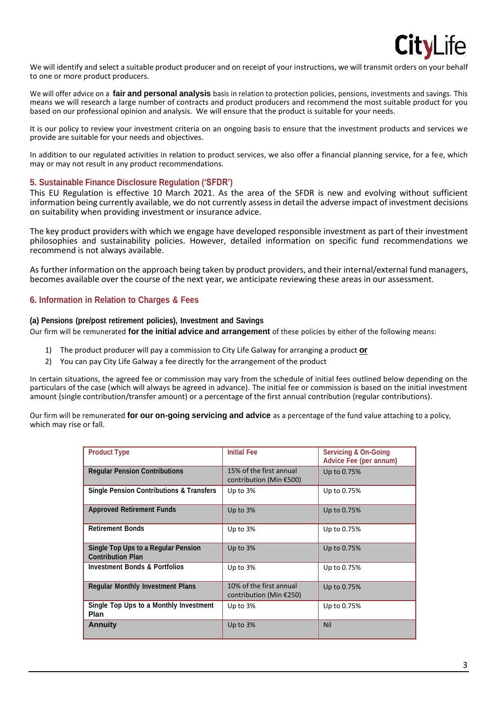

We will identify and select a suitable product producer and on receipt of your instructions, we will transmit orders on your behalf to one or more product producers.

We will offer advice on a **fair and personal analysis** basis in relation to protection policies, pensions, investments and savings. This means we will research a large number of contracts and product producers and recommend the most suitable product for you based on our professional opinion and analysis. We will ensure that the product is suitable for your needs.

It is our policy to review your investment criteria on an ongoing basis to ensure that the investment products and services we provide are suitable for your needs and objectives.

In addition to our regulated activities in relation to product services, we also offer a financial planning service, for a fee, which may or may not result in any product recommendations.

## **5. Sustainable Finance Disclosure Regulation ('SFDR')**

This EU Regulation is effective 10 March 2021. As the area of the SFDR is new and evolving without sufficient information being currently available, we do not currently assessin detail the adverse impact of investment decisions on suitability when providing investment or insurance advice.

The key product providers with which we engage have developed responsible investment as part of their investment philosophies and sustainability policies. However, detailed information on specific fund recommendations we recommend is not always available.

As further information on the approach being taken by product providers, and their internal/external fund managers, becomes available over the course of the next year, we anticipate reviewing these areas in our assessment.

# **6. Information in Relation to Charges & Fees**

#### **(a) Pensions (pre/post retirement policies), Investment and Savings**

Our firm will be remunerated **for the initial advice and arrangement** of these policies by either of the following means:

- 1) The product producer will pay a commission to City Life Galway for arranging a product **or**
- 2) You can pay City Life Galway a fee directly for the arrangement of the product

In certain situations, the agreed fee or commission may vary from the schedule of initial fees outlined below depending on the particulars of the case (which will always be agreed in advance). The initial fee or commission is based on the initial investment amount (single contribution/transfer amount) or a percentage of the first annual contribution (regular contributions).

Our firm will be remunerated **for our on-going servicing and advice** as a percentage of the fund value attaching to a policy, which may rise or fall.

| <b>Product Type</b>                                                    | <b>Initial Fee</b>                                 | <b>Servicing &amp; On-Going</b><br>Advice Fee (per annum) |
|------------------------------------------------------------------------|----------------------------------------------------|-----------------------------------------------------------|
| <b>Regular Pension Contributions</b>                                   | 15% of the first annual<br>contribution (Min €500) | Up to 0.75%                                               |
| <b>Single Pension Contributions &amp; Transfers</b>                    | Up to $3%$                                         | Up to 0.75%                                               |
| <b>Approved Retirement Funds</b>                                       | Up to $3%$                                         | Up to 0.75%                                               |
| <b>Retirement Bonds</b>                                                | Up to $3%$                                         | Up to 0.75%                                               |
| <b>Single Top Ups to a Regular Pension</b><br><b>Contribution Plan</b> | Up to 3%                                           | Up to 0.75%                                               |
| <b>Investment Bonds &amp; Portfolios</b>                               | Up to 3%                                           | Up to 0.75%                                               |
| <b>Regular Monthly Investment Plans</b>                                | 10% of the first annual<br>contribution (Min €250) | Up to 0.75%                                               |
| Single Top Ups to a Monthly Investment<br><b>Plan</b>                  | Up to 3%                                           | Up to 0.75%                                               |
| <b>Annuity</b>                                                         | Up to $3%$                                         | <b>Nil</b>                                                |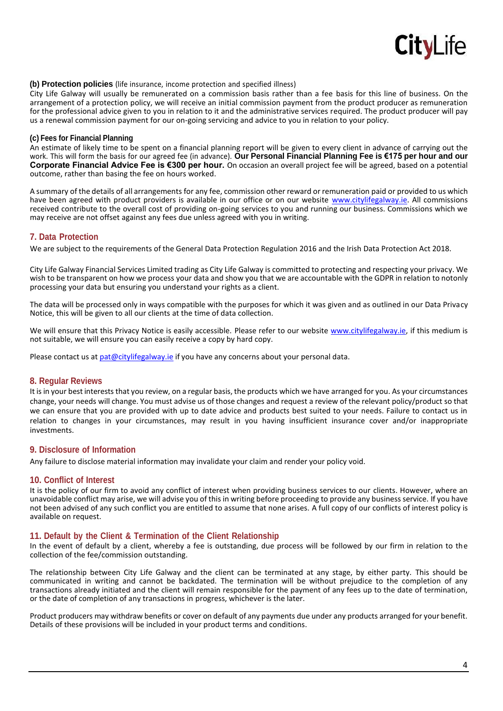

## **(b) Protection policies** (life insurance, income protection and specified illness)

City Life Galway will usually be remunerated on a commission basis rather than a fee basis for this line of business. On the arrangement of a protection policy, we will receive an initial commission payment from the product producer as remuneration for the professional advice given to you in relation to it and the administrative services required. The product producer will pay us a renewal commission payment for our on-going servicing and advice to you in relation to your policy.

#### **(c) Fees for Financial Planning**

An estimate of likely time to be spent on a financial planning report will be given to every client in advance of carrying out the work. This will form the basis for our agreed fee (in advance). **Our Personal Financial Planning Fee is €175 per hour and our Corporate Financial Advice Fee is €300 per hour.** On occasion an overall project fee will be agreed, based on a potential outcome, rather than basing the fee on hours worked.

A summary of the details of all arrangements for any fee, commission other reward or remuneration paid or provided to us which have been agreed with product providers is available in our office or on our website [www.citylifegalway.ie. A](http://www.citylifegalway.ie/)ll commissions received contribute to the overall cost of providing on-going services to you and running our business. Commissions which we may receive are not offset against any fees due unless agreed with you in writing.

#### **7. Data Protection**

We are subject to the requirements of the General Data Protection Regulation 2016 and the Irish Data Protection Act 2018.

City Life Galway Financial Services Limited trading as City Life Galway is committed to protecting and respecting your privacy. We wish to be transparent on how we process your data and show you that we are accountable with the GDPR in relation to notonly processing your data but ensuring you understand your rights as a client.

The data will be processed only in ways compatible with the purposes for which it was given and as outlined in our Data Privacy Notice, this will be given to all our clients at the time of data collection.

We will ensure that this Privacy Notice is easily accessible. Please refer to our website [www.citylifegalway.ie, i](http://www.citylifegalway.ie/)f this medium is not suitable, we will ensure you can easily receive a copy by hard copy.

Please contact us at [pat@citylifegalway.ie](mailto:pat@citylifegalway.ie) if you have any concerns about your personal data.

## **8. Regular Reviews**

It is in your best interests that you review, on a regular basis, the products which we have arranged for you. As your circumstances change, your needs will change. You must advise us of those changes and request a review of the relevant policy/product so that we can ensure that you are provided with up to date advice and products best suited to your needs. Failure to contact us in relation to changes in your circumstances, may result in you having insufficient insurance cover and/or inappropriate investments.

## **9. Disclosure of Information**

Any failure to disclose material information may invalidate your claim and render your policy void.

## **10. Conflict of Interest**

It is the policy of our firm to avoid any conflict of interest when providing business services to our clients. However, where an unavoidable conflict may arise, we will advise you of this in writing before proceeding to provide any business service. If you have not been advised of any such conflict you are entitled to assume that none arises. A full copy of our conflicts of interest policy is available on request.

## **11. Default by the Client & Termination of the Client Relationship**

In the event of default by a client, whereby a fee is outstanding, due process will be followed by our firm in relation to the collection of the fee/commission outstanding.

The relationship between City Life Galway and the client can be terminated at any stage, by either party. This should be communicated in writing and cannot be backdated. The termination will be without prejudice to the completion of any transactions already initiated and the client will remain responsible for the payment of any fees up to the date of termination, or the date of completion of any transactions in progress, whichever is the later.

Product producers may withdraw benefits or cover on default of any payments due under any products arranged for your benefit. Details of these provisions will be included in your product terms and conditions.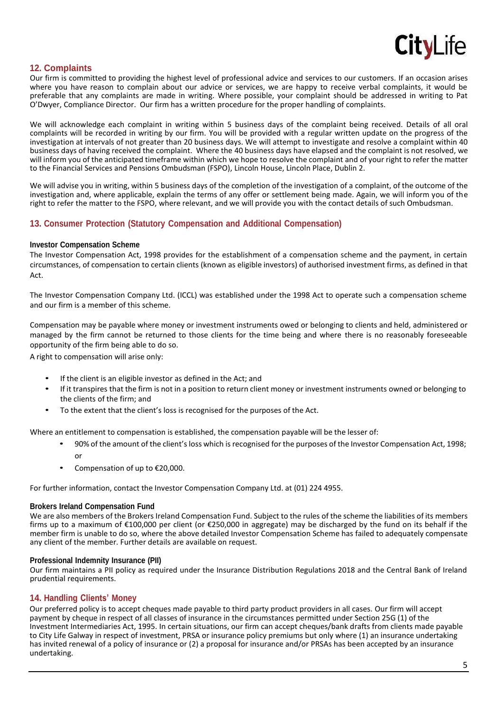

# **12. Complaints**

Our firm is committed to providing the highest level of professional advice and services to our customers. If an occasion arises where you have reason to complain about our advice or services, we are happy to receive verbal complaints, it would be preferable that any complaints are made in writing. Where possible, your complaint should be addressed in writing to Pat O'Dwyer, Compliance Director. Our firm has a written procedure for the proper handling of complaints.

We will acknowledge each complaint in writing within 5 business days of the complaint being received. Details of all oral complaints will be recorded in writing by our firm. You will be provided with a regular written update on the progress of the investigation at intervals of not greater than 20 business days. We will attempt to investigate and resolve a complaint within 40 business days of having received the complaint. Where the 40 business days have elapsed and the complaint is not resolved, we will inform you of the anticipated timeframe within which we hope to resolve the complaint and of your right to refer the matter to the Financial Services and Pensions Ombudsman (FSPO), Lincoln House, Lincoln Place, Dublin 2.

We will advise you in writing, within 5 business days of the completion of the investigation of a complaint, of the outcome of the investigation and, where applicable, explain the terms of any offer or settlement being made. Again, we will inform you of the right to refer the matter to the FSPO, where relevant, and we will provide you with the contact details of such Ombudsman.

# **13. Consumer Protection (Statutory Compensation and Additional Compensation)**

#### **Investor Compensation Scheme**

The Investor Compensation Act, 1998 provides for the establishment of a compensation scheme and the payment, in certain circumstances, of compensation to certain clients (known as eligible investors) of authorised investment firms, as defined in that Act.

The Investor Compensation Company Ltd. (ICCL) was established under the 1998 Act to operate such a compensation scheme and our firm is a member of this scheme.

Compensation may be payable where money or investment instruments owed or belonging to clients and held, administered or managed by the firm cannot be returned to those clients for the time being and where there is no reasonably foreseeable opportunity of the firm being able to do so.

A right to compensation will arise only:

- If the client is an eligible investor as defined in the Act; and
- If it transpires that the firm is not in a position to return client money or investment instruments owned or belonging to the clients of the firm; and
- To the extent that the client's loss is recognised for the purposes of the Act.

Where an entitlement to compensation is established, the compensation payable will be the lesser of:

- 90% of the amount of the client's loss which is recognised for the purposes of the Investor Compensation Act, 1998; or
- Compensation of up to  $E$ 20,000.

For further information, contact the Investor Compensation Company Ltd. at (01) 224 4955.

#### **Brokers Ireland Compensation Fund**

We are also members of the Brokers Ireland Compensation Fund. Subject to the rules of the scheme the liabilities of its members firms up to a maximum of €100,000 per client (or €250,000 in aggregate) may be discharged by the fund on its behalf if the member firm is unable to do so, where the above detailed Investor Compensation Scheme has failed to adequately compensate any client of the member. Further details are available on request.

#### **Professional Indemnity Insurance (PII)**

Our firm maintains a PII policy as required under the Insurance Distribution Regulations 2018 and the Central Bank of Ireland prudential requirements.

# **14. Handling Clients' Money**

Our preferred policy is to accept cheques made payable to third party product providers in all cases. Our firm will accept payment by cheque in respect of all classes of insurance in the circumstances permitted under Section 25G (1) of the Investment Intermediaries Act, 1995. In certain situations, our firm can accept cheques/bank drafts from clients made payable to City Life Galway in respect of investment, PRSA or insurance policy premiums but only where (1) an insurance undertaking has invited renewal of a policy of insurance or (2) a proposal for insurance and/or PRSAs has been accepted by an insurance undertaking.